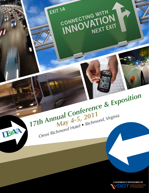

17th Annual Conference & Exposition TESTA 1 Omni Richmond Hotel • Richmond, Virginia

 $T^{2A}$ 

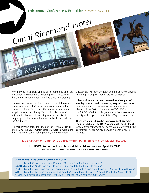Whether you're a history enthusiast, a shopaholic or an art aficionado, Richmond has something you'll love. And at the Omni Richmond Hotel, you'll be close to everything.

RICHMOND HOTEL

Discover early American history with a tour of the nearby plantations or a stroll down Monument Avenue. When it comes to culture, Richmond offers numerous museums, art galleries and fine dining. The hotel is also located adjacent to Shockoe slip, offering an eclectic mix of shopping. Thrill seekers will enjoy nearby theme parks or NASCAR races.

Other Richmond attractions include the Virginia Museum of Fine Arts, the Lewis Ginter Botanical Garden (with more than 40 acres of spectacular gardens), Hanover Tavern,

Chesterfield Museum Complex and the Library of Virginia (featuring an original copy of the Bill of Rights).

**A block of rooms has been reserved for the nights of Tuesday, May 3rd and Wednesday, May 4th**. In order to receive the special convention rate of \$149/night, please call the OMNI directly at 1-800-THE-OMNI (1-800-843-6664) to make your reservations. Ask for the Intelligent Transportation Society of Virginia Room Block.

**There are a limited number of government per diem rooms available in the ITSVA room block for \$114/night.** *Government employees will be required to present a valid government issued ID upon arrival in order to receive this rate.*

# **To reserve your room contact the OMNI directly at 1-800-THE-OMNI**

**The ITSVA Room Block will be available until Wednesday, April 13, 2011 (or until the group block is sold-out, whichever comes first)**

### **DIRECTIONS to the OMNI RICHMOND HOTEL**

NORTH:From I-95 South take exit 74A onto I-195. Then take the Canal Street exit.\* SOUTH: From I-95 North take exit 74A onto I-195. Then take the Canal Street exit.\* EAST: From I-64 West take exit 190 merging onto I-95 south, then take exit 74A onto I-195. Exit at Canal Street.\* WEST: From I-64 East take exit 75 merging onto I-95 south, then take exit 74A onto I-195. Exit at Canal Street.\* *\* From Canal Street, turn right onto 10th Street. Turn right at the light onto Cary Street.*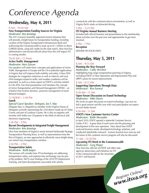# *Conference Agenda*

# **Wednesday, May 4, 2011**

# 9 AM – 10:30 AM

# **New Transportation Funding Sources for Virginia** *Moderator: Ken Jennings*

The 2011 General Assembly approved several initiatives that will provide a bright future for transportation funding, including creation of the Virginia Transportation Infrastructure Bank and authorizing the Commonwealth to issue up to \$1.1 billion in direct GARVEE bonds, using toll credits for the state match. Hear from key administrative and elected officials about how this will impact ITS in coming months.

# 10:45 AM – 12 Noon

# **Active Traffic Management** *Moderator: Moe Zarean*

Our speakers will relate basic concepts and applications of Active Traffic Management in Europe and the US to potential applications in Virginia that will improve both mobility and safety. Urban ATM strategies for congestion reduction as well as intercity and rural ATM strategies related to traffic and weather conditions will be presented, as well as a status report on VDOT's activities related to I-66 ATM. Our final presentation will introduce the concept of Active Transportation and Demand Management (ATDM) – an initiative that involves dynamic, proactive management of travel demand strategies.

# 12 NOON – 1:30 PM

# **Lunch**

# *Special Guest Speaker: Delegate, Joe T. May*

Delegate May is a Republican member of the Virginia House of Delegates currently representing the 33rd district made up of Clarke County and part of Loudoun County. He is also an engineer and inventor who holds over 20 patents in the fields of electrical and electronic engineering.

# 1:30 PM – 3 PM

# **Recent Developments in Integrated Freight Management** *Moderator: Ken Jennings*

Hear from members of Virginia's newly-formed Multimodal Strategic Transportation Planning Team, as well as representatives from the Port of Virginia, on new approaches to efficiently move freight along our nation's key transportation corridors.

## 3:30 PM – 5 PM **Transportation Safety**  *Moderator: Keith Jasper*

This session will consider how ITS technologies are addressing transportation safety, and explores how technology may be part of the problem. We'll cover findings of the 2010 ITS Deployment Tracking, and latest developments associated with vehicle

connectivity with the communications environment, as well as Virginia Tech's study on distracted driving.

# 5 PM – 5:15 PM

# **ITS Virginia Annual Business Meeting**

Includes both official business and presentations to the membership about activities over the past year and opportunities to get more involved.

6 PM – 7 PM

# **Reception**

DINNER ON YOUR OWN

# **Thursday, May 5, 2011**

# 8 AM – 9:15 AM

### **Planning the Way Forward** *Moderator: Cathy McGhee*

Highlighting long range transportation planning in Virginia, including VDOT's 6-Year Operations and Improvement Plan and DRPT's plans for transit improvements.

# 8 AM – 9:15 AM

### **Supporting Operations Through Data** *Moderator: Ken Earnest*

# 9:30 AM - 11 AM

# **Open Forum Discussion on Transit Technology** *Moderator: Mike Harris*

We invite an open discussion on transit technology. Last year we had a great session and this year with your participation we expect an even better forum!

# 9:30 AM - 11 AM

# **VDOT's New Customer Service Center** *Moderator: Robb Alexander*

In April 2010, VDOT opened a statewide Customer Service Center (CSC). A great deal of work went into the planning and development of this new operation. Hear about how VDOT analyzed business needs, developed technology solutions, and conducted stakeholder outreach. Lessons learned since start-up and the future of this customer service program will also be discussed.

*Register Online! www.itsva.org*

## 11 AM - 12:30 PM **Upcoming ITS Work in the Commonwealth** *Moderator: Greg Pieper*

Hear from key officials at VDOT and other state agencies about plans and initiatives for ITS in the Commonwealth for the remainder of 2011 and beyond.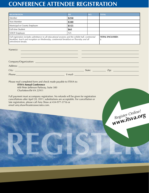# **CONFERENCE ATTENDEE REGISTRATION**

| <b>REGISTRATION</b>                                                                                                                                                                                                                        | FEE:  | NO. | <b>TOTAL</b>                      |
|--------------------------------------------------------------------------------------------------------------------------------------------------------------------------------------------------------------------------------------------|-------|-----|-----------------------------------|
| Member                                                                                                                                                                                                                                     | \$250 |     |                                   |
| Non-Member                                                                                                                                                                                                                                 | \$340 |     |                                   |
| Municipal or County Employee                                                                                                                                                                                                               | \$155 |     |                                   |
| Full-time Student                                                                                                                                                                                                                          | \$65  |     |                                   |
| VDOT Employee                                                                                                                                                                                                                              | N/A   |     |                                   |
| Full registration includes admittance to all educational sessions and the exhibit hall, continental<br>breakfast, lunch and reception on Wednesday, continental breakfast on Thursday and all<br>refreshment breaks.                       |       |     | <b>TOTAL ENCLOSED:</b><br>\$      |
| Name(s):<br><u> 1999 - Johann Stoff, deutscher Stoff, der Stoff, der Stoff, der Stoff, der Stoff, der Stoff, der Stoff, der S</u>                                                                                                          |       |     |                                   |
| Address: <u>Address: Address: Address: Address: Address: Address: Address: Address: Address: Address: Address: Address: Address: Address: Address: Address: Address: Address: Address: Address: Address: Address: Address: Addre</u>       |       |     |                                   |
|                                                                                                                                                                                                                                            |       |     |                                   |
|                                                                                                                                                                                                                                            |       |     |                                   |
| Full payment must accompany registration. No refunds will be given for registration<br>cancellations after April 20, 2011; substitutions are acceptable. For cancellation or<br>late registration, please call Amy Shaw at 434-977-3716 or |       |     |                                   |
| email amy.shaw@easterassociates.com.                                                                                                                                                                                                       |       |     | Register Online!<br>www.itsva.org |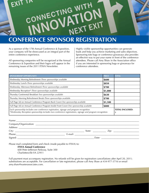

# **CONFERENCE SPONSOR REGISTRATION**

As a sponsor of the 17th Annual Conference & Exposition, your company will be showcased as an integral part of the entire conference experience.

All sponsoring companies will be recognized at the Annual Conference & Exposition and their logos will appear in the remaining issues of the 2011 ITSVA Newsletter.

Highly visible sponsorship opportunities can generate leads and help you achieve marketing and sales objectives. Sponsoring tote bags or conference giveaways also provides an effective way to put your name in front of the conference attendees. Please call Amy Shaw in the Association office if you are interested in sponsoring bags or giveaways for conference attendees*.*

| <b>SPONSORSHIP OPPORTUNITY</b>                                                                                                                                                                      | <b>PRICE</b>           | <b>TOTAL</b> |  |  |
|-----------------------------------------------------------------------------------------------------------------------------------------------------------------------------------------------------|------------------------|--------------|--|--|
| Wednesday Morning Refreshment-Three sponsorships available                                                                                                                                          | \$600                  |              |  |  |
| Wednesday Lunch-Three sponsorships available                                                                                                                                                        | \$850                  |              |  |  |
| Wednesday Afternoon Refreshment-Three sponsorships available                                                                                                                                        | \$700                  |              |  |  |
| Wednesday Reception*-Three sponsorships available                                                                                                                                                   | \$1,000                |              |  |  |
| Thursday Continental Breakfast-Two sponsorships available                                                                                                                                           | \$630                  |              |  |  |
| Thursday Morning Refreshment Break-Three sponsorships available                                                                                                                                     | \$700                  |              |  |  |
| Full Page Ad on Annual Conference Program Back Cover-One sponsorship available                                                                                                                      |                        |              |  |  |
| Full Page Ad on Annual Conference Program Inside Front Cover-One sponsorship available                                                                                                              | \$800                  |              |  |  |
| Each sponsorship includes one conference registration, signage and program recognition.<br>*Wednesday Reception sponsorship includes two conference registrations, signage and program recognition. | <b>TOTAL ENCLOSED:</b> |              |  |  |

|         | E-mail: The contract of the contract of the contract of the contract of the contract of the contract of the contract of the contract of the contract of the contract of the contract of the contract of the contract of the co |                                                                                                                                                                                                                                |
|---------|--------------------------------------------------------------------------------------------------------------------------------------------------------------------------------------------------------------------------------|--------------------------------------------------------------------------------------------------------------------------------------------------------------------------------------------------------------------------------|
| Signed: |                                                                                                                                                                                                                                | Date: the contract of the contract of the contract of the contract of the contract of the contract of the contract of the contract of the contract of the contract of the contract of the contract of the contract of the cont |

Please mail completed form and check (made payable to ITSVA) to:

### **ITSVA Annual Conference**

600 Peter Jefferson Parkway, Suite 300 Charlottesville VA 22911

Full payment must accompany registration. No refunds will be given for registration cancellations after April 20, 2011; substitutions are acceptable. For cancellation or late registration, please call Amy Shaw at 434-977-3716 or email amy.shaw@easterassociates.com.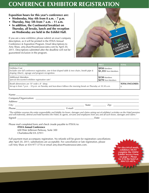# **CONFERENCE EXHIBITOR REGISTRATION**

# **Exposition hours for this year's conference are:**

- **• Wednesday, May 4th from 8 a.m. 7 p.m.**
- **• Thursday, May 5th from 7 a.m. 11 a.m.**
- **• In addition, the Continental breakfast on Thursday, all breaks, lunch and the reception on Wednesday are held in the Exhibit Hall.**

If you are a new exhibitor, please submit an exact company description, as it will be printed in the ITSVA Annual Conference & Exposition Program. Email descriptions to Amy Shaw, amy.shaw@easterassociates.com by April 20, 2011. Descriptions submitted after the deadline will not be guaranteed inclusion in the program.



| <b>EXHIBITOR DETAILS</b>                                                                                                                                                        | <b>PRICE</b>                         | <b>TOTAL</b> |
|---------------------------------------------------------------------------------------------------------------------------------------------------------------------------------|--------------------------------------|--------------|
| <b>Exhibitor Cost</b><br>Includes one full conference registration, one 6-foot draped table $&$ two chairs, booth pipe $&$<br>draping (black), signage and program recognition. | \$950 Members<br>\$1,355 Non-Members |              |
| <b>Additional Attendees</b><br>Special discounted exhibitor registration rate!                                                                                                  | \$150 Members<br>\$270 Non-Members   |              |
| Booth dimensions are 10' wide x 8 ' deep.<br>Set-up is from 7 p.m. - 10 p.m. on Tuesday and tear-down follows the morning break on Thursday at 10:30 a.m.                       | <b>TOTAL ENCLOSED:</b>               |              |
| Name:<br>Company/Organization:                                                                                                                                                  |                                      |              |

| Company/Organization.              |                                                                                                                                                                                                                                |                                                                                                                                                                                                                                                                                                                                                                                                                                                                                                                                                          |         |        |                                       |  |
|------------------------------------|--------------------------------------------------------------------------------------------------------------------------------------------------------------------------------------------------------------------------------|----------------------------------------------------------------------------------------------------------------------------------------------------------------------------------------------------------------------------------------------------------------------------------------------------------------------------------------------------------------------------------------------------------------------------------------------------------------------------------------------------------------------------------------------------------|---------|--------|---------------------------------------|--|
| Address:                           |                                                                                                                                                                                                                                |                                                                                                                                                                                                                                                                                                                                                                                                                                                                                                                                                          |         |        |                                       |  |
| City:                              |                                                                                                                                                                                                                                |                                                                                                                                                                                                                                                                                                                                                                                                                                                                                                                                                          |         | State: | Zip:                                  |  |
| Phone:                             |                                                                                                                                                                                                                                |                                                                                                                                                                                                                                                                                                                                                                                                                                                                                                                                                          | E-mail: |        |                                       |  |
| $\sim$ $-1$<br>$1 \cdot 1 \cdot$ . | and the contract of the contract of the contract of the contract of the contract of the contract of the contract of the contract of the contract of the contract of the contract of the contract of the contract of the contra | $\mathbf{1} \mathbf{1} \mathbf{1} \mathbf{1}$ $\mathbf{1} \mathbf{1} \mathbf{1} \mathbf{1} \mathbf{1} \mathbf{1} \mathbf{1} \mathbf{1} \mathbf{1} \mathbf{1} \mathbf{1} \mathbf{1} \mathbf{1} \mathbf{1} \mathbf{1} \mathbf{1} \mathbf{1} \mathbf{1} \mathbf{1} \mathbf{1} \mathbf{1} \mathbf{1} \mathbf{1} \mathbf{1} \mathbf{1} \mathbf{1} \mathbf{1} \mathbf{1} \mathbf{1} \mathbf{1} \mathbf{1} \mathbf{1} \$<br>$\mathbf{I}$ and $\mathbf{I}$ and $\mathbf{I}$ and $\mathbf{I}$ and $\mathbf{I}$ and $\mathbf{I}$ and $\mathbf{I}$ and $\mathbf{I}$ |         |        | the state of the contract and the the |  |

*"The exhibitor assumes the entire responsibility and liability for losses, damages and claims arising out of exhibitor's activities on the Hotel premises and will indemnify, defend and hold harmless the Hotel, its agents, servants and employees from any and all such losses, damages and claims."* Signed: \_\_\_\_\_\_\_\_\_\_\_\_\_\_\_\_\_\_\_\_\_\_\_\_\_\_\_\_\_\_\_\_\_\_\_\_\_\_\_\_\_\_\_\_\_\_\_\_\_\_\_\_\_\_\_\_\_\_\_\_\_\_\_ Date: \_\_\_\_\_\_\_\_\_\_\_\_\_\_\_\_\_\_\_\_\_\_\_\_\_\_\_\_\_\_\_

Please mail completed form and check (made payable to ITSVA) to:

# **ITSVA Annual Conference**

600 Peter Jefferson Parkway, Suite 300 Charlottesville VA 22911

Full payment must accompany registration. No refunds will be given for registration cancellations after April 20, 2011; substitutions are acceptable. For cancellation or late registration, please call Amy Shaw at 434-977-3716 or email amy.shaw@easterassociates.com.

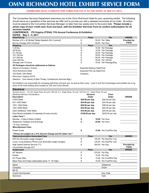# **OMNI Richmond Hotel Exhibit Service Form**

# **OMNI RICHMOND HOTEL Exhibitors MUST complete this form and fax it to the hotel at 804/521-4876.Exhibitor Service Form**

The Convention Services Department welcomes you to the Omni Richmond Hotel for your upcoming exhibit. The following should serve as a guideline of the services we offer and to provide you with a pleasant encounter at our hotel. All orders must be placed to the Convention Services Manager no later than two weeks prior to the event date. **Please include a**  *photo copy of your credit card, front and back,* **with the Exhibitor Services Form to confirm authorization for all services needed.**

### **CONFERENCE: ITS Virginia (ITSVA) 17th Annual Conference & Exhibition DATES: May 3 - 5, 2011**

| <b>Initial Set Up</b>                                              |                                    | <b>Price</b> | Per                   | <b>ORDER</b> |
|--------------------------------------------------------------------|------------------------------------|--------------|-----------------------|--------------|
| Number of 6 x 30 Skirted Tables Needed (Per Contract)              | \$                                 |              | 50.00 Per Table       | Provided by  |
| Set Up Charges (Per Contract)                                      |                                    |              | 50.00 Per Hour        | <b>ITSVA</b> |
| <b>Shipping</b>                                                    |                                    | <b>Price</b> | Per                   |              |
| $1-25$ lbs.                                                        |                                    |              | 10.00 Per Package     |              |
| 26-50 lbs.                                                         |                                    |              | 15.00 Per Package     |              |
| 51-100 lbs.                                                        |                                    |              | 25.00 Per Package     |              |
| 101-150 lbs.                                                       |                                    |              | 35.00 Per Package     |              |
| 151-200 lbs.                                                       |                                    |              | 55.00 Per Package     |              |
| Over 200 lbs.                                                      |                                    |              | 35.00 Per 100 lbs.    |              |
| Storage over 72 hours                                              |                                    |              | 15.00 Per Package/Day |              |
| All Packages should be addressed as follows:                       |                                    |              |                       |              |
| (Name of Company / Event)                                          | <b>Expected Delivery Date/Time</b> |              |                       |              |
| Omni Richmond Hotel                                                | Expected Pick Up Date/Time         |              |                       |              |
| 100 South 12th Street                                              | Company                            |              |                       |              |
| Richmond, Virginia 23219                                           |                                    |              |                       |              |
| Attention: (Your Name) & (Brie Tinsley, Conferences Services Mgr.) |                                    |              |                       |              |

*All exhibitors are responsible for arranging deliveries and pick ups, as well as their costs. Load In and Out of packages and exhibits are to be done at the hotel loading dock located at 12th and Canal Streets.*

| <b>Electrical</b>                                                                                                                     |                 |                  |                         |                    |
|---------------------------------------------------------------------------------------------------------------------------------------|-----------------|------------------|-------------------------|--------------------|
| Standard Service : 120 Volt, Single Phase, 60 cycle / 208 Volt, A.C., Single Phase, 60 cycle / 208 Volt, A.C., Single Phase, 60 cycle |                 |                  |                         |                    |
| <b>Electrical Service Connections:</b><br><b>Advance</b>                                                                              |                 |                  | <b>Floor</b>            |                    |
| <b>Description</b>                                                                                                                    | Order           |                  | Order                   | <b>ORDER</b>       |
| 0-500 Watts                                                                                                                           | \$20.00 per day |                  | \$30.00 per day         |                    |
| 501-1000 Watts                                                                                                                        | \$24.00 per day |                  | \$34.00 per day         |                    |
| 1001-1500 Watts                                                                                                                       | \$28.00 per day |                  | \$38.00 per day         |                    |
| 1501-2000 Watts                                                                                                                       |                 | \$32.00 per day  | \$42.00 per day         |                    |
| Each Additional 1000 Watts                                                                                                            |                 | \$10.00 per day  | \$20.00 per day         |                    |
| Drop Boxes Available (10 separate 20 amp circuits)                                                                                    |                 | \$150.00 per day | \$225.00 per day        |                    |
| Labor Fees**:                                                                                                                         |                 |                  |                         |                    |
| Monday - Friday 8:00am-4:00pm                                                                                                         | \$              |                  | <b>16.00 Per Hour</b>   |                    |
| Weekends, Holidays and Evenings                                                                                                       | \$              |                  | 24.00 Per Hour          |                    |
| **4 Hour minimum                                                                                                                      |                 |                  |                         |                    |
| <b>Miscellaneous Fees:</b>                                                                                                            |                 |                  |                         |                    |
| Power Cords                                                                                                                           | \$              |                  | 15.00 Per Cord/Per Day  |                    |
| **Prices are subject to a 21% Service Charge and 6% Sales Tax**                                                                       |                 |                  |                         |                    |
| <b>Telecommunication Associated Fees</b>                                                                                              |                 | <b>Price</b>     | Per                     | <b>ORDER</b>       |
| DID line (Excludes usage charges)                                                                                                     | \$              |                  | 125.00 Per Day/Per Line |                    |
| Local / Long Distance Phone Line (Excludes usage charges)                                                                             | \$              |                  | 125.00 Per Day/Per Line |                    |
| High Speed Internet Service (T1)                                                                                                      | \$              |                  | 350.00 Per Day          | <b>Provided by</b> |
| Coordinated through AVT                                                                                                               |                 |                  |                         | <b>ITSVA</b>       |
| <b>Audiovisual</b>                                                                                                                    |                 | <b>Price</b>     | Per                     | <b>ORDER</b>       |
| 40" Monitor                                                                                                                           | \$              |                  | 275.00 Per Day          |                    |
| Easels                                                                                                                                | \$              |                  | 10.00 Per Day           |                    |
| <b>AC Power Strip</b>                                                                                                                 | \$              |                  | 15.00 Per Cord/Per Day  |                    |
| Black Pipe and Drape (Adjustable panel 9'-16' high)                                                                                   | \$              |                  | 15.00 Per Foot/Per Day  |                    |
| Name                                                                                                                                  |                 |                  | Telephone               |                    |
| Company                                                                                                                               |                 |                  | Email                   |                    |
| <b>Bill To</b>                                                                                                                        |                 |                  |                         |                    |
| <b>Credit Card Number</b>                                                                                                             |                 |                  | Exp. Date               |                    |
|                                                                                                                                       |                 |                  |                         |                    |

Direct (804) 521-4847, Fax. (804) 344-7256, btinsley@omnihotels.com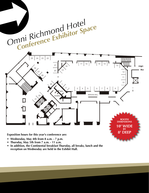

- **• Wednesday, May 4th from 8 a.m. 7 p.m.**
- **• Thursday, May 5th from 7 a.m. 11 a.m.**
- $\bullet$ **LOCATION:** James River Ballroom reception on Wednesday are held in the Exhibit Hall. • In addition, the Continental breakfast Thursday, all breaks, lunch and the